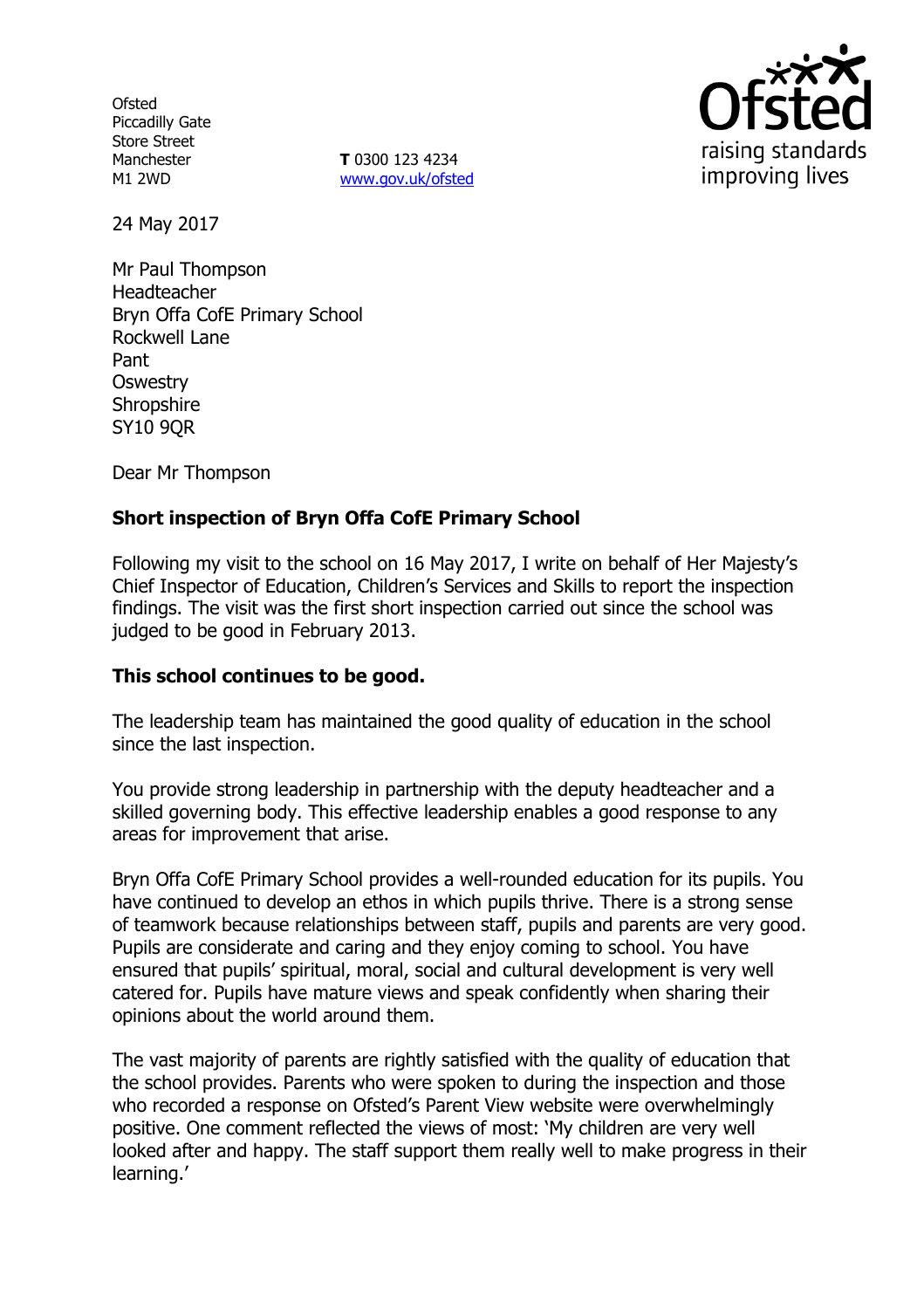**Ofsted** Piccadilly Gate Store Street Manchester M1 2WD

**T** 0300 123 4234 www.gov.uk/ofsted



24 May 2017

Mr Paul Thompson Headteacher Bryn Offa CofE Primary School Rockwell Lane Pant **Oswestry Shropshire SY10 9OR** 

Dear Mr Thompson

# **Short inspection of Bryn Offa CofE Primary School**

Following my visit to the school on 16 May 2017, I write on behalf of Her Majesty's Chief Inspector of Education, Children's Services and Skills to report the inspection findings. The visit was the first short inspection carried out since the school was judged to be good in February 2013.

### **This school continues to be good.**

The leadership team has maintained the good quality of education in the school since the last inspection.

You provide strong leadership in partnership with the deputy headteacher and a skilled governing body. This effective leadership enables a good response to any areas for improvement that arise.

Bryn Offa CofE Primary School provides a well-rounded education for its pupils. You have continued to develop an ethos in which pupils thrive. There is a strong sense of teamwork because relationships between staff, pupils and parents are very good. Pupils are considerate and caring and they enjoy coming to school. You have ensured that pupils' spiritual, moral, social and cultural development is very well catered for. Pupils have mature views and speak confidently when sharing their opinions about the world around them.

The vast majority of parents are rightly satisfied with the quality of education that the school provides. Parents who were spoken to during the inspection and those who recorded a response on Ofsted's Parent View website were overwhelmingly positive. One comment reflected the views of most: 'My children are very well looked after and happy. The staff support them really well to make progress in their learning.'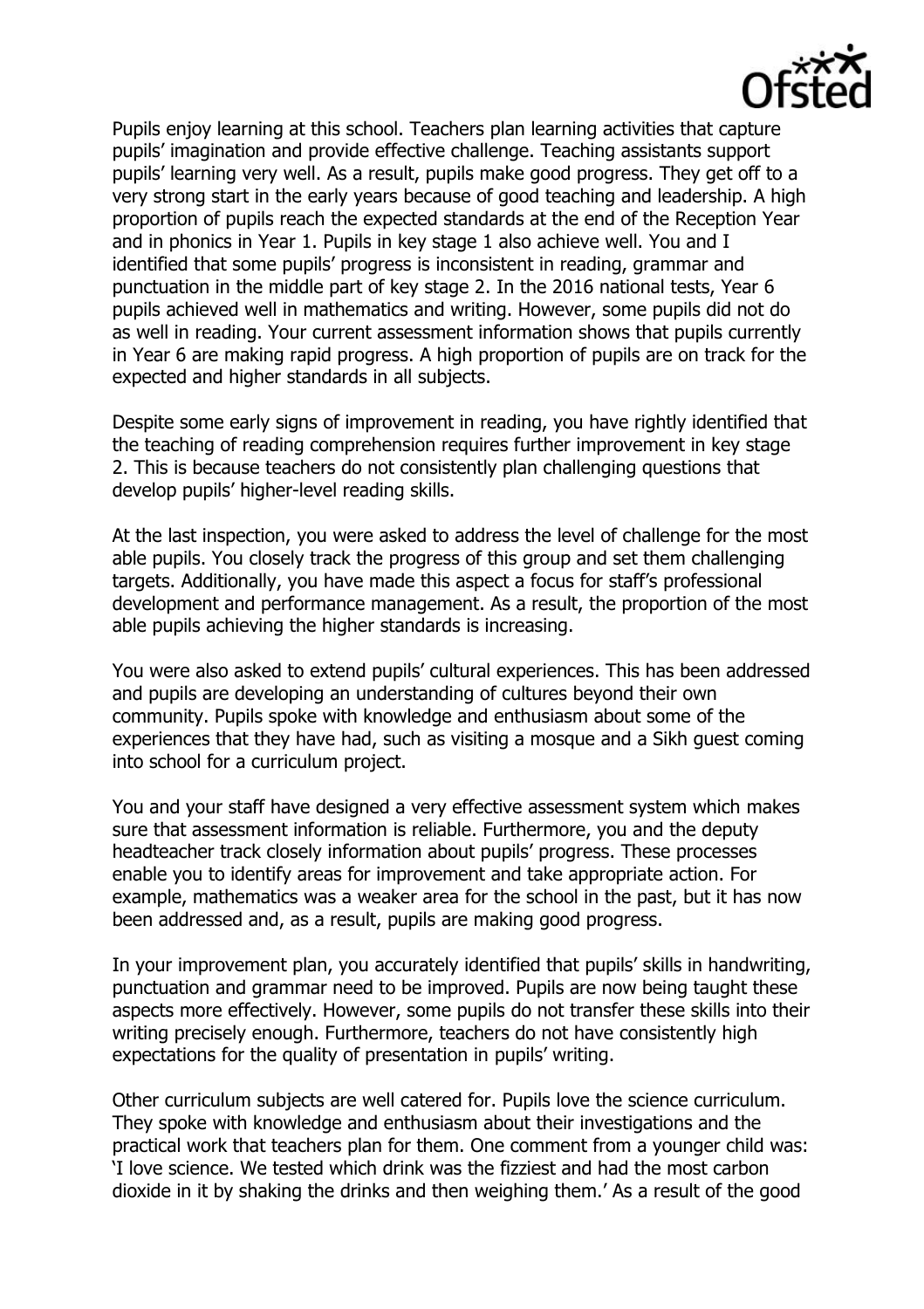

Pupils enjoy learning at this school. Teachers plan learning activities that capture pupils' imagination and provide effective challenge. Teaching assistants support pupils' learning very well. As a result, pupils make good progress. They get off to a very strong start in the early years because of good teaching and leadership. A high proportion of pupils reach the expected standards at the end of the Reception Year and in phonics in Year 1. Pupils in key stage 1 also achieve well. You and I identified that some pupils' progress is inconsistent in reading, grammar and punctuation in the middle part of key stage 2. In the 2016 national tests, Year 6 pupils achieved well in mathematics and writing. However, some pupils did not do as well in reading. Your current assessment information shows that pupils currently in Year 6 are making rapid progress. A high proportion of pupils are on track for the expected and higher standards in all subjects.

Despite some early signs of improvement in reading, you have rightly identified that the teaching of reading comprehension requires further improvement in key stage 2. This is because teachers do not consistently plan challenging questions that develop pupils' higher-level reading skills.

At the last inspection, you were asked to address the level of challenge for the most able pupils. You closely track the progress of this group and set them challenging targets. Additionally, you have made this aspect a focus for staff's professional development and performance management. As a result, the proportion of the most able pupils achieving the higher standards is increasing.

You were also asked to extend pupils' cultural experiences. This has been addressed and pupils are developing an understanding of cultures beyond their own community. Pupils spoke with knowledge and enthusiasm about some of the experiences that they have had, such as visiting a mosque and a Sikh guest coming into school for a curriculum project.

You and your staff have designed a very effective assessment system which makes sure that assessment information is reliable. Furthermore, you and the deputy headteacher track closely information about pupils' progress. These processes enable you to identify areas for improvement and take appropriate action. For example, mathematics was a weaker area for the school in the past, but it has now been addressed and, as a result, pupils are making good progress.

In your improvement plan, you accurately identified that pupils' skills in handwriting, punctuation and grammar need to be improved. Pupils are now being taught these aspects more effectively. However, some pupils do not transfer these skills into their writing precisely enough. Furthermore, teachers do not have consistently high expectations for the quality of presentation in pupils' writing.

Other curriculum subjects are well catered for. Pupils love the science curriculum. They spoke with knowledge and enthusiasm about their investigations and the practical work that teachers plan for them. One comment from a younger child was: 'I love science. We tested which drink was the fizziest and had the most carbon dioxide in it by shaking the drinks and then weighing them.' As a result of the good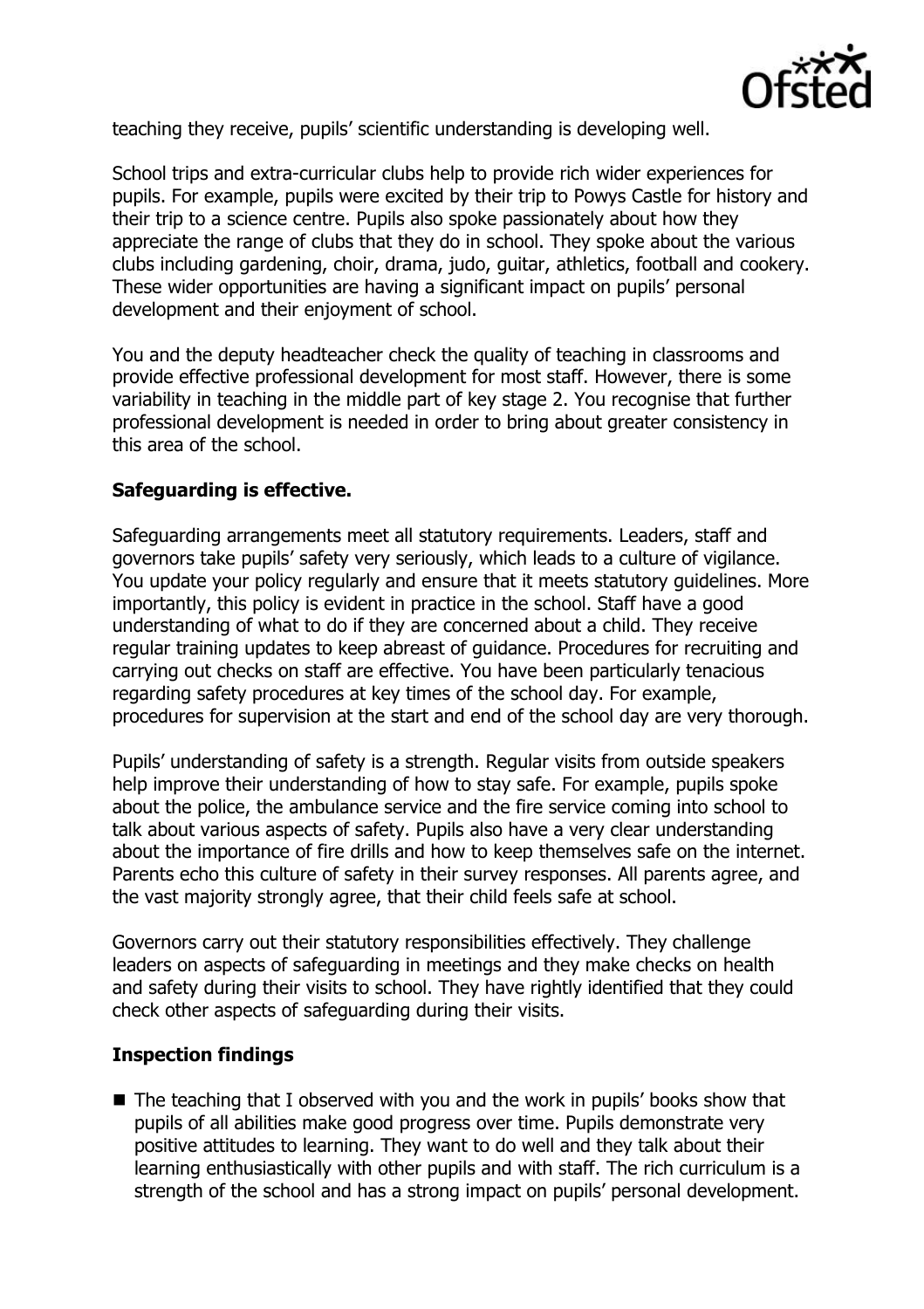

teaching they receive, pupils' scientific understanding is developing well.

School trips and extra-curricular clubs help to provide rich wider experiences for pupils. For example, pupils were excited by their trip to Powys Castle for history and their trip to a science centre. Pupils also spoke passionately about how they appreciate the range of clubs that they do in school. They spoke about the various clubs including gardening, choir, drama, judo, guitar, athletics, football and cookery. These wider opportunities are having a significant impact on pupils' personal development and their enjoyment of school.

You and the deputy headteacher check the quality of teaching in classrooms and provide effective professional development for most staff. However, there is some variability in teaching in the middle part of key stage 2. You recognise that further professional development is needed in order to bring about greater consistency in this area of the school.

# **Safeguarding is effective.**

Safeguarding arrangements meet all statutory requirements. Leaders, staff and governors take pupils' safety very seriously, which leads to a culture of vigilance. You update your policy regularly and ensure that it meets statutory guidelines. More importantly, this policy is evident in practice in the school. Staff have a good understanding of what to do if they are concerned about a child. They receive regular training updates to keep abreast of guidance. Procedures for recruiting and carrying out checks on staff are effective. You have been particularly tenacious regarding safety procedures at key times of the school day. For example, procedures for supervision at the start and end of the school day are very thorough.

Pupils' understanding of safety is a strength. Regular visits from outside speakers help improve their understanding of how to stay safe. For example, pupils spoke about the police, the ambulance service and the fire service coming into school to talk about various aspects of safety. Pupils also have a very clear understanding about the importance of fire drills and how to keep themselves safe on the internet. Parents echo this culture of safety in their survey responses. All parents agree, and the vast majority strongly agree, that their child feels safe at school.

Governors carry out their statutory responsibilities effectively. They challenge leaders on aspects of safeguarding in meetings and they make checks on health and safety during their visits to school. They have rightly identified that they could check other aspects of safeguarding during their visits.

### **Inspection findings**

■ The teaching that I observed with you and the work in pupils' books show that pupils of all abilities make good progress over time. Pupils demonstrate very positive attitudes to learning. They want to do well and they talk about their learning enthusiastically with other pupils and with staff. The rich curriculum is a strength of the school and has a strong impact on pupils' personal development.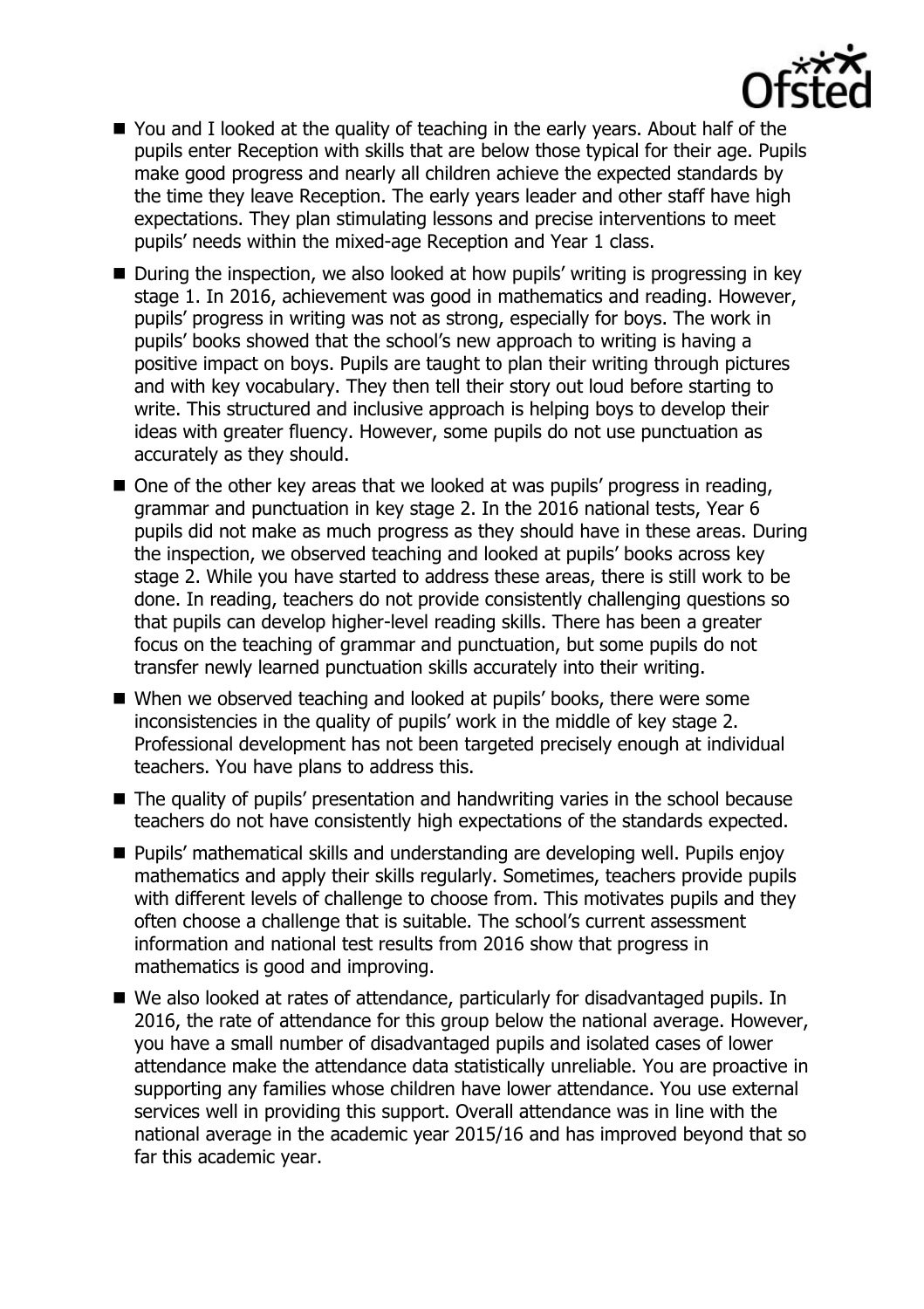

- You and I looked at the quality of teaching in the early years. About half of the pupils enter Reception with skills that are below those typical for their age. Pupils make good progress and nearly all children achieve the expected standards by the time they leave Reception. The early years leader and other staff have high expectations. They plan stimulating lessons and precise interventions to meet pupils' needs within the mixed-age Reception and Year 1 class.
- During the inspection, we also looked at how pupils' writing is progressing in key stage 1. In 2016, achievement was good in mathematics and reading. However, pupils' progress in writing was not as strong, especially for boys. The work in pupils' books showed that the school's new approach to writing is having a positive impact on boys. Pupils are taught to plan their writing through pictures and with key vocabulary. They then tell their story out loud before starting to write. This structured and inclusive approach is helping boys to develop their ideas with greater fluency. However, some pupils do not use punctuation as accurately as they should.
- One of the other key areas that we looked at was pupils' progress in reading, grammar and punctuation in key stage 2. In the 2016 national tests, Year 6 pupils did not make as much progress as they should have in these areas. During the inspection, we observed teaching and looked at pupils' books across key stage 2. While you have started to address these areas, there is still work to be done. In reading, teachers do not provide consistently challenging questions so that pupils can develop higher-level reading skills. There has been a greater focus on the teaching of grammar and punctuation, but some pupils do not transfer newly learned punctuation skills accurately into their writing.
- When we observed teaching and looked at pupils' books, there were some inconsistencies in the quality of pupils' work in the middle of key stage 2. Professional development has not been targeted precisely enough at individual teachers. You have plans to address this.
- The quality of pupils' presentation and handwriting varies in the school because teachers do not have consistently high expectations of the standards expected.
- Pupils' mathematical skills and understanding are developing well. Pupils enjoy mathematics and apply their skills regularly. Sometimes, teachers provide pupils with different levels of challenge to choose from. This motivates pupils and they often choose a challenge that is suitable. The school's current assessment information and national test results from 2016 show that progress in mathematics is good and improving.
- We also looked at rates of attendance, particularly for disadvantaged pupils. In 2016, the rate of attendance for this group below the national average. However, you have a small number of disadvantaged pupils and isolated cases of lower attendance make the attendance data statistically unreliable. You are proactive in supporting any families whose children have lower attendance. You use external services well in providing this support. Overall attendance was in line with the national average in the academic year 2015/16 and has improved beyond that so far this academic year.